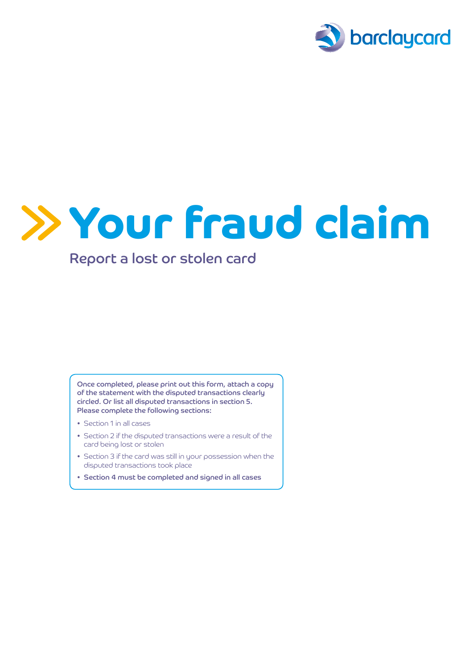

## Your fraud claim

## Report a lost or stolen card

Once completed, please print out this form, attach a copy of the statement with the disputed transactions clearly circled. Or list all disputed transactions in section 5. Please complete the following sections:

- Section 1 in all cases
- Section 2 if the disputed transactions were a result of the card being lost or stolen
- Section 3 if the card was still in your possession when the disputed transactions took place
- Section 4 must be completed and signed in all cases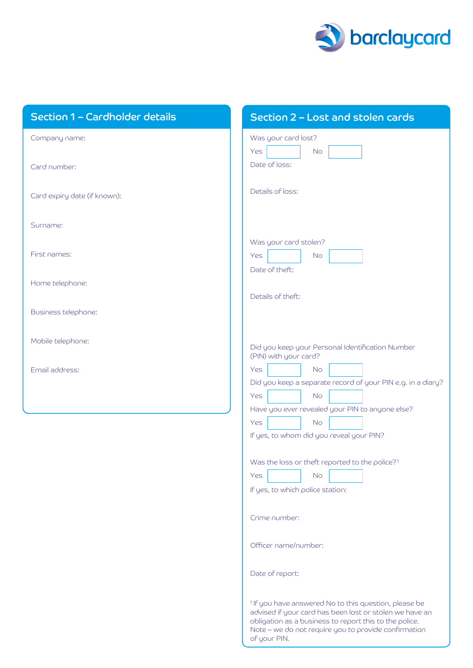

| Section 1 - Cardholder details | Section 2 - Lost and stolen cards                                                                                                                                                                                                                             |
|--------------------------------|---------------------------------------------------------------------------------------------------------------------------------------------------------------------------------------------------------------------------------------------------------------|
| Company name:                  | Was your card lost?<br>Yes<br><b>No</b>                                                                                                                                                                                                                       |
| Card number:                   | Date of loss:                                                                                                                                                                                                                                                 |
| Card expiry date (if known):   | Details of loss:                                                                                                                                                                                                                                              |
| Surname:                       |                                                                                                                                                                                                                                                               |
| First names:                   | Was your card stolen?<br>Yes<br><b>No</b><br>Date of theft:                                                                                                                                                                                                   |
| Home telephone:                |                                                                                                                                                                                                                                                               |
| Business telephone:            | Details of theft:                                                                                                                                                                                                                                             |
| Mobile telephone:              | Did you keep your Personal Identification Number<br>(PIN) with your card?                                                                                                                                                                                     |
| Email address:                 | <b>No</b><br>Yes<br>Did you keep a separate record of your PIN e.g. in a diary?<br>Yes<br><b>No</b><br>Have you ever revealed your PIN to anyone else?<br>Yes<br>No.<br>If yes, to whom did you reveal your PIN?                                              |
|                                | Was the loss or theft reported to the police? <sup>†</sup><br>Yes<br><b>No</b><br>If yes, to which police station:                                                                                                                                            |
|                                | Crime number:                                                                                                                                                                                                                                                 |
|                                | Officer name/number:                                                                                                                                                                                                                                          |
|                                | Date of report:                                                                                                                                                                                                                                               |
|                                | <sup>†</sup> If you have answered No to this question, please be<br>advised if your card has been lost or stolen we have an<br>obligation as a business to report this to the police.<br>Note - we do not require you to provide confirmation<br>of your PIN. |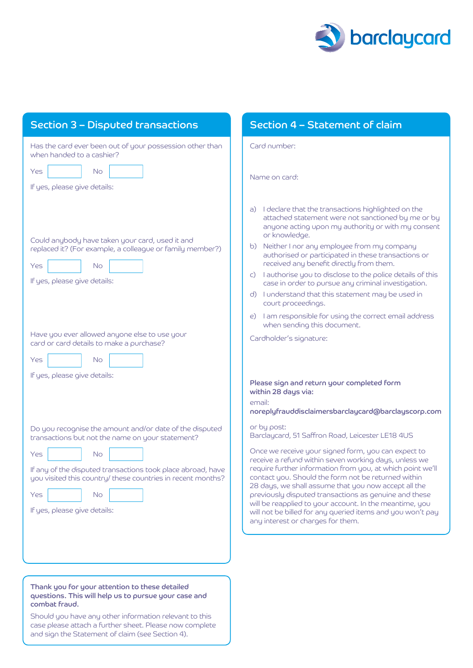

| <b>Section 3 - Disputed transactions</b>                                                                                                                                                                                                                                                                          | Section 4 - Statement of claim                                                                                                                                                                                                                                                                                                                                                                                                                                                                                                                                                      |
|-------------------------------------------------------------------------------------------------------------------------------------------------------------------------------------------------------------------------------------------------------------------------------------------------------------------|-------------------------------------------------------------------------------------------------------------------------------------------------------------------------------------------------------------------------------------------------------------------------------------------------------------------------------------------------------------------------------------------------------------------------------------------------------------------------------------------------------------------------------------------------------------------------------------|
| Has the card ever been out of your possession other than<br>when handed to a cashier?                                                                                                                                                                                                                             | Card number:                                                                                                                                                                                                                                                                                                                                                                                                                                                                                                                                                                        |
| Yes<br><b>No</b><br>If yes, please give details:                                                                                                                                                                                                                                                                  | Name on card:                                                                                                                                                                                                                                                                                                                                                                                                                                                                                                                                                                       |
| Could anybody have taken your card, used it and<br>replaced it? (For example, a colleague or family member?)<br>Yes<br><b>No</b><br>If yes, please give details:                                                                                                                                                  | a) I declare that the transactions highlighted on the<br>attached statement were not sanctioned by me or by<br>anyone acting upon my authority or with my consent<br>or knowledge.<br>b) Neither I nor any employee from my company<br>authorised or participated in these transactions or<br>received any benefit directly from them.<br>c) lauthorise you to disclose to the police details of this<br>case in order to pursue any criminal investigation.<br>d) I understand that this statement may be used in<br>court proceedings.                                            |
| Have you ever allowed anyone else to use your<br>card or card details to make a purchase?<br>Yes<br><b>No</b><br>If yes, please give details:                                                                                                                                                                     | e) I am responsible for using the correct email address<br>when sending this document.<br>Cardholder's signature:<br>Please sign and return your completed form<br>within 28 days via:<br>email:<br>noreplyfrauddisclaimersbarclaycard@barclayscorp.com                                                                                                                                                                                                                                                                                                                             |
| Do you recognise the amount and/or date of the disputed<br>transactions but not the name on your statement?<br>Yes<br><b>No</b><br>If any of the disputed transactions took place abroad, have<br>you visited this country/ these countries in recent months?<br><b>No</b><br>Yes<br>If yes, please give details: | or by post:<br>Barclaycard, 51 Saffron Road, Leicester LE18 4US<br>Once we receive your signed form, you can expect to<br>receive a refund within seven working days, unless we<br>require further information from you, at which point we'll<br>contact you. Should the form not be returned within<br>28 days, we shall assume that you now accept all the<br>previously disputed transactions as genuine and these<br>will be reapplied to your account. In the meantime, you<br>will not be billed for any queried items and you won't pay<br>any interest or charges for them. |
|                                                                                                                                                                                                                                                                                                                   |                                                                                                                                                                                                                                                                                                                                                                                                                                                                                                                                                                                     |

Thank you for your attention to these detailed questions. This will help us to pursue your case and combat fraud.

Should you have any other information relevant to this case please attach a further sheet. Please now complete and sign the Statement of claim (see Section 4).